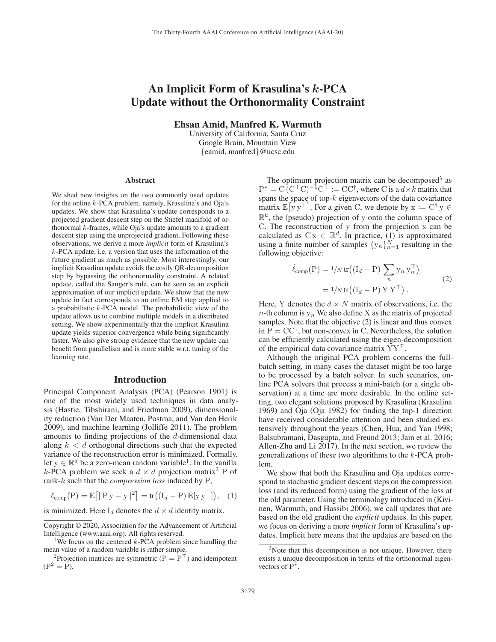# An Implicit Form of Krasulina's *k*-PCA Update without the Orthonormality Constraint

Ehsan Amid, Manfred K. Warmuth

University of California, Santa Cruz Google Brain, Mountain View {eamid, manfred}@ucsc.edu

#### Abstract

We shed new insights on the two commonly used updates for the online k-PCA problem, namely, Krasulina's and Oja's updates. We show that Krasulina's update corresponds to a projected gradient descent step on the Stiefel manifold of orthonormal  $k$ -frames, while Oja's update amounts to a gradient descent step using the unprojected gradient. Following these observations, we derive a more *implicit* form of Krasulina's k-PCA update, i.e. a version that uses the information of the future gradient as much as possible. Most interestingly, our implicit Krasulina update avoids the costly QR-decomposition step by bypassing the orthonormality constraint. A related update, called the Sanger's rule, can be seen as an explicit approximation of our implicit update. We show that the new update in fact corresponds to an online EM step applied to a probabilistic k-PCA model. The probabilistic view of the update allows us to combine multiple models in a distributed setting. We show experimentally that the implicit Krasulina update yields superior convergence while being significantly faster. We also give strong evidence that the new update can benefit from parallelism and is more stable w.r.t. tuning of the learning rate.

### Introduction

Principal Component Analysis (PCA) (Pearson 1901) is one of the most widely used techniques in data analysis (Hastie, Tibshirani, and Friedman 2009), dimensionality reduction (Van Der Maaten, Postma, and Van den Herik 2009), and machine learning (Jolliffe 2011). The problem amounts to finding projections of the  $d$ -dimensional data along  $k < d$  orthogonal directions such that the expected variance of the reconstruction error is minimized. Formally, let  $y \in \mathbb{R}^d$  be a zero-mean random variable<sup>1</sup>. In the vanilla k-PCA problem we seek a  $d \times d$  projection matrix<sup>2</sup> P of rank-<sup>k</sup> such that the *compression loss* induced by P,

$$
\ell_{\text{comp}}(\mathbf{P}) = \mathbb{E}\big[\|\mathbf{P}\,\mathbf{y} - \mathbf{y}\|^2\big] = \text{tr}\big((\mathbf{I}_d - \mathbf{P})\,\mathbb{E}[\mathbf{y}\,\mathbf{y}^\top]\big),\quad(1)
$$

is minimized. Here  $I_d$  denotes the  $d \times d$  identity matrix.

The optimum projection matrix can be decomposed<sup>3</sup> as  $P^* = C (C^{\top} C)^{-1} C^{\top} := CC^{\dagger}$ , where C is a  $d \times k$  matrix that spans the space of top-k eigenvectors of the data covariance spans the space of top- $k$  eigenvectors of the data covariance matrix  $\mathbb{E}[y y^{\top}]$ . For a given C, we denote by  $x := C^{\dagger} y \in \mathbb{R}^k$ , the (people) projection of y onto the column gnass of  $\mathbb{R}^k$ , the (pseudo) projection of y onto the column space of C. The reconstruction of y from the projection x can be calculated as  $C x \in \mathbb{R}^d$ . In practice, (1) is approximated<br>using a finite number of samples  $\{y_n\}^N$ , resulting in the using a finite number of samples  $\{y_n\}_{n=1}^N$  resulting in the following objective: following objective:

$$
\hat{\ell}_{comp}(P) = 1/N tr((I_d - P) \sum_n y_n y_n^{\top})
$$
  
=  $1/N tr((I_d - P) Y Y^{\top}).$  (2)

Here, Y denotes the  $d \times N$  matrix of observations, i.e. the  $n$ -th column is  $y_n$ . We also define X as the matrix of projected samples. Note that the objective (2) is linear and thus convex in  $P = CC^{\dagger}$ , but non-convex in C. Nevertheless, the solution can be efficiently calculated using the eigen-decomposition of the empirical data covariance matrix  $YY^{\dagger}$ .<br>Although the original PCA problem conc

Although the original PCA problem concerns the fullbatch setting, in many cases the dataset might be too large to be processed by a batch solver. In such scenarios, online PCA solvers that process a mini-batch (or a single observation) at a time are more desirable. In the online setting, two elegant solutions proposed by Krasulina (Krasulina 1969) and Oja (Oja 1982) for finding the top-1 direction have received considerable attention and been studied extensively throughout the years (Chen, Hua, and Yan 1998; Balsubramani, Dasgupta, and Freund 2013; Jain et al. 2016; Allen-Zhu and Li 2017). In the next section, we review the generalizations of these two algorithms to the k-PCA problem.

We show that both the Krasulina and Oja updates correspond to stochastic gradient descent steps on the compression loss (and its reduced form) using the gradient of the loss at the old parameter. Using the terminology introduced in (Kivinen, Warmuth, and Hassibi 2006), we call updates that are based on the old gradient the *explicit* updates. In this paper, we focus on deriving a more *implicit* form of Krasulina's updates. Implicit here means that the updates are based on the

Copyright © 2020, Association for the Advancement of Artificial Intelligence (www.aaai.org). All rights reserved. <sup>1</sup>

<sup>&</sup>lt;sup>1</sup>We focus on the centered  $k$ -PCA problem since handling the mean value of a random variable is rather simple.

<sup>&</sup>lt;sup>2</sup>Projection matrices are symmetric ( $P = P<sup>T</sup>$ ) and idempotent  $(P^2 = P).$ 

<sup>&</sup>lt;sup>3</sup>Note that this decomposition is not unique. However, there exists a unique decomposition in terms of the orthonormal eigenvectors of P∗.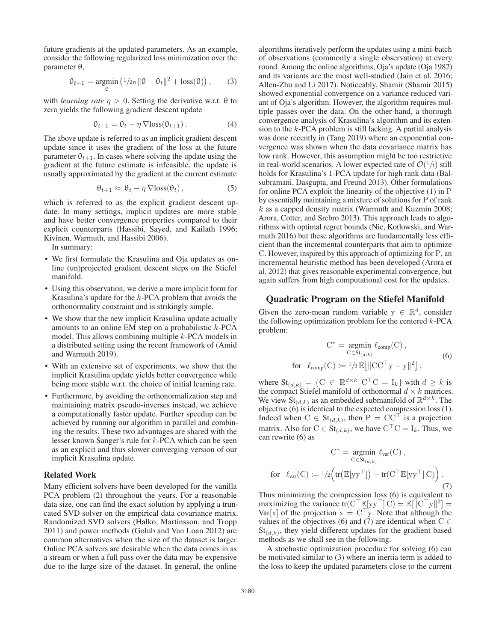future gradients at the updated parameters. As an example, consider the following regularized loss minimization over the parameter θ,

$$
\theta_{t+1} = \underset{\theta}{\text{argmin}} \left( \frac{1}{2\eta} \|\theta - \theta_t\|^2 + \text{loss}(\theta) \right), \qquad (3)
$$

with *learning rate*  $\eta > 0$ . Setting the derivative w.r.t.  $\theta$  to zero yields the following gradient descent update

$$
\theta_{t+1} = \theta_t - \eta \nabla \text{loss}(\theta_{t+1}). \tag{4}
$$

The above update is referred to as an implicit gradient descent update since it uses the gradient of the loss at the future parameter  $\theta_{t+1}$ . In cases where solving the update using the gradient at the future estimate is infeasible, the update is usually approximated by the gradient at the current estimate

$$
\theta_{t+1} \approx \theta_t - \eta \, \nabla \text{loss}(\theta_t) \,, \tag{5}
$$

which is referred to as the explicit gradient descent update. In many settings, implicit updates are more stable and have better convergence properties compared to their explicit counterparts (Hassibi, Sayed, and Kailath 1996; Kivinen, Warmuth, and Hassibi 2006).

In summary:

- We first formulate the Krasulina and Oja updates as online (un)projected gradient descent steps on the Stiefel manifold.
- Using this observation, we derive a more implicit form for Krasulina's update for the k-PCA problem that avoids the orthonormality constraint and is strikingly simple.
- We show that the new implicit Krasulina update actually amounts to an online EM step on a probabilistic  $k$ -PCA model. This allows combining multiple k-PCA models in a distributed setting using the recent framework of (Amid and Warmuth 2019).
- With an extensive set of experiments, we show that the implicit Krasulina update yields better convergence while being more stable w.r.t. the choice of initial learning rate.
- Furthermore, by avoiding the orthonormalization step and maintaining matrix pseudo-inverses instead, we achieve a computationally faster update. Further speedup can be achieved by running our algorithm in parallel and combining the results. These two advantages are shared with the lesser known Sanger's rule for k-PCA which can be seen as an explicit and thus slower converging version of our implicit Krasulina update.

### Related Work

Many efficient solvers have been developed for the vanilla PCA problem (2) throughout the years. For a reasonable data size, one can find the exact solution by applying a truncated SVD solver on the empirical data covariance matrix. Randomized SVD solvers (Halko, Martinsson, and Tropp 2011) and power methods (Golub and Van Loan 2012) are common alternatives when the size of the dataset is larger. Online PCA solvers are desirable when the data comes in as a stream or when a full pass over the data may be expensive due to the large size of the dataset. In general, the online

algorithms iteratively perform the updates using a mini-batch of observations (commonly a single observation) at every round. Among the online algorithms, Oja's update (Oja 1982) and its variants are the most well-studied (Jain et al. 2016; Allen-Zhu and Li 2017). Noticeably, Shamir (Shamir 2015) showed exponential convergence on a variance reduced variant of Oja's algorithm. However, the algorithm requires multiple passes over the data. On the other hand, a thorough convergence analysis of Krasulina's algorithm and its extension to the  $k$ -PCA problem is still lacking. A partial analysis was done recently in (Tang 2019) where an exponential convergence was shown when the data covariance matrix has low rank. However, this assumption might be too restrictive in real-world scenarios. A lower expected rate of  $\mathcal{O}(1/t)$  still holds for Krasulina's 1-PCA update for high rank data (Balsubramani, Dasgupta, and Freund 2013). Other formulations for online PCA exploit the linearity of the objective (1) in P by essentially maintaining a mixture of solutions for P of rank  $k$  as a capped density matrix (Warmuth and Kuzmin 2008; Arora, Cotter, and Srebro 2013). This approach leads to algorithms with optimal regret bounds (Nie, Kotłowski, and Warmuth 2016) but these algorithms are fundamentally less efficient than the incremental counterparts that aim to optimize C. However, inspired by this approach of optimizing for P, an incremental heuristic method has been developed (Arora et al. 2012) that gives reasonable experimental convergence, but again suffers from high computational cost for the updates.

### Quadratic Program on the Stiefel Manifold

Given the zero-mean random variable  $y \in \mathbb{R}^d$ , consider the following optimization problem for the centered  $k$ -PCA problem:

$$
C^* = \underset{C \in St_{(d,k)}}{\operatorname{argmin}} \ell_{comp}(C),
$$
  
for  $\ell_{comp}(C) := 1/2 \mathbb{E} [\|CC^{\top}y - y\|^2],$  (6)

where  $\text{St}_{(d,k)} = \{C \in \mathbb{R}^{d \times k} | C^{\top}C = I_k \}$  with  $d \ge k$  is the compact Stiefel manifold of orthonormal  $d \times k$  matrices. We view  $\text{St}_{(d,k)}$  as an embedded submanifold of  $\mathbb{R}^{d \times k}$ . The objective (6) is identical to the expected compression loss (1). Indeed when  $C \in St_{(d,k)}$ , then  $P = CC^{\dagger}$  is a projection<br>matrix. Also for  $C \subseteq St_{\dagger}$  we have  $C^{\dagger}C = I$ . Thus, we matrix. Also for  $C \in St_{(d,k)}$ , we have  $C^{\perp}C = I_k$ . Thus, we can rewrite (6) as can rewrite (6) as

$$
C^* = \underset{C \in St_{(d,k)}}{\operatorname{argmin}} \ell_{var}(C),
$$
  
for  $\ell_{var}(C) := 1/2 \Big( tr(\mathbb{E}[yy^\top]) - tr(C^\top \mathbb{E}[yy^\top] C) \Big).$  (7)

Thus minimizing the compression loss (6) is equivalent to maximizing the variance  $tr(C^{\top} \mathbb{E}[y y^{\top}] C) = \mathbb{E}[||C^{\top}y||^2] =$ <br>Var<sup>[x]</sup> of the projection  $x = C^{\top}v$ . Note that although the Var[x] of the projection  $x = C<sup>+</sup>y$ . Note that although the values of the objectives (6) and (7) are identical when  $C \in$ values of the objectives (6) and (7) are identical when  $C \in St_{(2,1)}$  they yield different undates for the gradient based  $St_{(d,k)}$ , they yield different updates for the gradient based methods as we shall see in the following.

A stochastic optimization procedure for solving (6) can be motivated similar to (3) where an inertia term is added to the loss to keep the updated parameters close to the current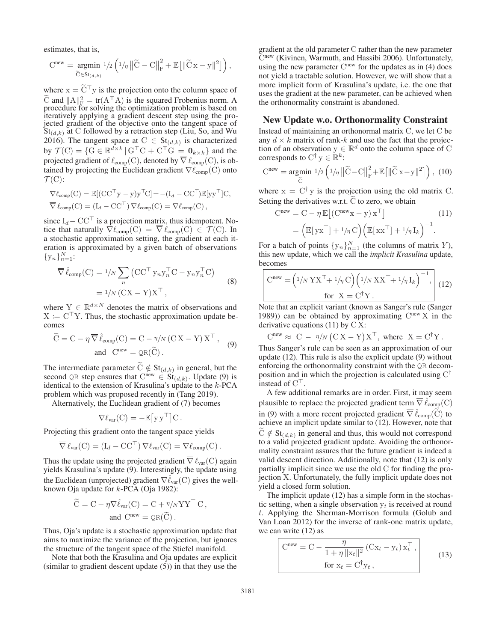estimates, that is,

stimates, that is,  
\n
$$
Cnew = \underset{\widetilde{C} \in St_{(d,k)}}{\text{argmin }} 1/2 \left( 1/\eta \left\| \widetilde{C} - C \right\|_{F}^{2} + \mathbb{E} \left[ \left\| \widetilde{C} x - y \right\|^{2} \right] \right),
$$

where  $x = C^{\dagger}y$  is the projection onto the column space of  $\tilde{C}$  and  $||A||^2 = tr(A^{\dagger}A)$  is the squared Erobenius norm. C and  $||A||_F^2 = \text{tr}(A^\top A)$  is the squared Frobenius norm. A procedure for solving the optimization problem is based on iteratively applying a gradient descent step using the projected gradient of the objective onto the tangent space of  $St_{(d,k)}$  at C followed by a retraction step (Liu, So, and Wu 2016). The tangent space at  $C \in St_{(d,k)}$  is characterized by  $\mathcal{T}(C) = \{G \in \mathbb{R}^{d \times k} \mid G^{\top}C + C^{\top}G = \mathbf{0}_{k \times k}\}\$  and the projected gradient of  $\ell$  (C) denoted by  $\overline{\nabla} \ell$  (C) is ob projected gradient of  $\ell_{\text{comp}}(C)$ , denoted by  $\overline{\nabla} \ell_{\text{comp}}(C)$ , is obtained by projecting the Euclidean gradient  $\nabla \ell_{\text{comp}}(C)$  onto tained by projecting the Euclidean gradient  $\nabla \ell_{\text{comp}}(C)$  onto  $\mathcal{T}(C)$ :

$$
\nabla \ell_{\text{comp}}(C) = \mathbb{E}[(CC^{\top}y - y)y^{\top}C] = -(I_d - CC^{\top})\mathbb{E}[yy^{\top}]C,
$$
  

$$
\overline{\nabla} \ell_{\text{comp}}(C) = (I_d - CC^{\top})\nabla \ell_{\text{comp}}(C) = \nabla \ell_{\text{comp}}(C),
$$

since  $I_d$  – CC<sup>+</sup> is a projection matrix, thus idempotent. No-<br>tice that naturally  $\nabla \ell_{\text{comp}}(C) = \overline{\nabla} \ell_{\text{comp}}(C) \in \mathcal{T}(C)$  In tice that naturally  $\nabla \ell_{\text{comp}}(C) = \nabla \ell_{\text{comp}}(C) \in \mathcal{T}(C)$ . In a stochastic approximation setting the gradient at each it. a stochastic approximation setting, the gradient at each iteration is approximated by a given batch of observations  $\{y_n\}_{n=1}^N$ :

$$
\overline{\nabla}\hat{\ell}_{\text{comp}}(C) = \frac{1}{N} \sum_{n} (CC^{\top} y_{n} y_{n}^{\top} C - y_{n} y_{n}^{\top} C)
$$

$$
= \frac{1}{N} (CX - Y)X^{\top},
$$
(8)

where  $Y \in \mathbb{R}^{d \times N}$  denotes the matrix of observations and  $X \coloneqq C^{\top} Y$ . Thus, the stochastic approximation update be-<br>comes comes

$$
\widetilde{C} = C - \eta \, \overline{\nabla} \, \hat{\ell}_{comp}(C) = C - \eta / N \left( C X - Y \right) X^{\top} \,, \tag{9}
$$
\n
$$
\text{and} \quad C^{new} = \mathcal{Q}R(\widetilde{C}) \,.
$$

The intermediate parameter  $\widetilde{C} \notin St_{(d,k)}$  in general, but the second OR step ensures that  $C^{new} \in St_{(d,k)}$  Undate (9) is second QR step ensures that  $C^{\text{new}} \in St_{(d,k)}$ . Update (9) is identical to the extension of Krasulina's update to the k-PCA identical to the extension of Krasulina's update to the k-PCA problem which was proposed recently in (Tang 2019).

Alternatively, the Euclidean gradient of (7) becomes

$$
\nabla \ell_{\text{var}}(C) = -\mathbb{E}\big[ y\, y^\top \big] C \, .
$$

Projecting this gradient onto the tangent space yields

$$
\overline{\nabla} \ell_{\text{var}}(C) = (I_d - CC^{\top}) \nabla \ell_{\text{var}}(C) = \nabla \ell_{\text{comp}}(C).
$$

Thus the update using the projected gradient  $\overline{\nabla} \ell_{\text{var}}(C)$  again vields Krasulina's undate (9) Interestingly the undate using yields Krasulina's update (9). Interestingly, the update using the Euclidean (unprojected) gradient  $\nabla \hat{\ell}_{var}(C)$  gives the well-<br>known Oia undate for k-PCA (Oia 1982): known Oja update for  $k$ -PCA (Oja 1982):

$$
\widetilde{C} = C - \eta \nabla \hat{\ell}_{var}(C) = C + \eta / n \Upsilon \Upsilon^{\top} C ,
$$
  
and 
$$
C^{new} = \mathcal{Q}R(\widetilde{C}).
$$

Thus, Oja's update is a stochastic approximation update that aims to maximize the variance of the projection, but ignores the structure of the tangent space of the Stiefel manifold.

Note that both the Krasulina and Oja updates are explicit (similar to gradient descent update (5)) in that they use the

gradient at the old parameter C rather than the new parameter Cnew (Kivinen, Warmuth, and Hassibi 2006). Unfortunately, using the new parameter  $C<sup>new</sup>$  for the updates as in (4) does not yield a tractable solution. However, we will show that a more implicit form of Krasulina's update, i.e. the one that uses the gradient at the new parameter, can be achieved when the orthonormality constraint is abandoned.

# New Update w.o. Orthonormality Constraint

Instead of maintaining an orthonormal matrix C, we let C be any  $d \times k$  matrix of rank-k and use the fact that the projection of an observation  $y \in \mathbb{R}^d$  onto the column space of C corresponds to  $C^{\dagger}$  y  $\in \mathbb{R}^k$ :

ion of an observation 
$$
y \in \mathbb{R}^n
$$
 onto the column space of C  
corresponds to C<sup>†</sup>  $y \in \mathbb{R}^k$ :  
C<sup>new</sup> = argmin  $1/2 \left( 1/n ||\widetilde{C} - C||_F^2 + \mathbb{E} [||\widetilde{C}x - y||^2] \right)$ , (10)

where  $x = C^{\dagger} y$  is the projection using the old matrix C. Setting the derivatives w.r.t. C to zero, we obtain

$$
Cnew = C - \eta \mathbb{E}[(Cnewx - y) xT]
$$
(11)  
=  $(\mathbb{E}[yxT] + 1/\eta C) (\mathbb{E}[xxT] + 1/\eta I_k)^{-1}$ .

For a batch of points  $\{y_n\}_{n=1}^N$  (the columns of matrix Y),<br>this new undate, which we call the *innlicit Krasuling* undate this new update, which we call the *implicit Krasulina* update, becomes

$$
\begin{bmatrix}\n\text{Cnew} = \left(\frac{1}{N} \, \text{Y} \, \text{X}^{\top} + \frac{1}{\eta} \, \text{C}\right) \left(\frac{1}{N} \, \text{X} \, \text{X}^{\top} + \frac{1}{\eta} \, \text{I}_k\right)^{-1}, & \\
\text{for } \, \text{X} = \text{C}^{\dagger} \, \text{Y} \, . & \\
\text{Note that an explicit variant (known as Sanger's rule (Sanger)\n\end{bmatrix}
$$

1989)) can be obtained by approximating  $C<sup>new</sup> X$  in the derivative equations  $(11)$  by  $CX:$ 

$$
C^{new} \approx C - \eta / N (CX - Y)X^{T}
$$
, where  $X = C^{\dagger}Y$ .  
Thus Sanger's rule can be seen as an approximation of our

update (12). This rule is also the explicit update (9) without enforcing the orthonormality constraint with the QR decomposition and in which the projection is calculated using C† instead of  $C^{\perp}$ .<br>A few addit

A few additional remarks are in order. First, it may seem plausible to replace the projected gradient term  $\overline{\nabla} \hat{\ell}_{\text{comp}}(C)$ <br>in (0) with a more goesn't gradient  $\overline{\nabla} \hat{\ell}$  ( $\hat{C}$ ) to in (9) with a more recent projected gradient  $\overline{\nabla} \hat{\ell}_{\text{comp}}(\widetilde{C})$  to cohieve an implicit undeta similar to (12). However, note that in (9) with a more recent projected gradient  $V \ell_{\text{comp}}(C)$  to achieve an implicit update similar to (12). However, note that  $C \notin St_{(d,k)}$  in general and thus, this would not correspond<br>to a valid projected gradient update. Avoiding the orthonor- $\tilde{C} \notin St_{(d,k)}$  in general and thus, this would not correspond mality constraint assures that the future gradient is indeed a valid descent direction. Additionally, note that (12) is only partially implicit since we use the old C for finding the projection X. Unfortunately, the fully implicit update does not yield a closed form solution.

The implicit update (12) has a simple form in the stochastic setting, when a single observation  $y_t$  is received at round t. Applying the Sherman-Morrison formula (Golub and Van Loan 2012) for the inverse of rank-one matrix update, we can write (12) as

$$
Cnew = C - \frac{\eta}{1 + \eta ||x_t||^2} (Cx_t - y_t) x_t^\top,
$$
  
for  $x_t = C^\dagger y_t,$  (13)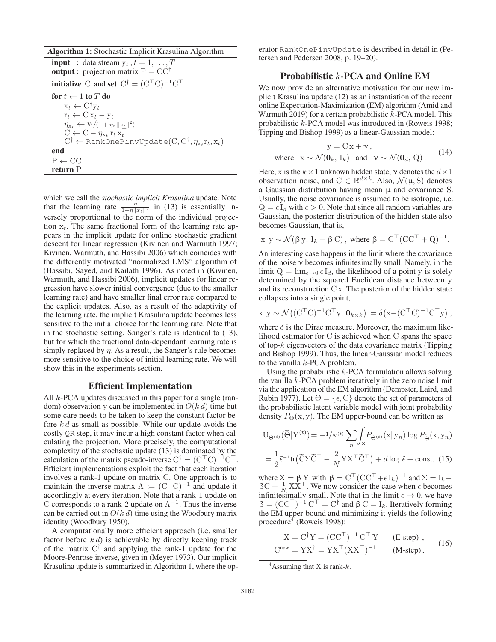#### Algorithm 1: Stochastic Implicit Krasulina Algorithm

**input** : data stream  $y_t$ ,  $t = 1, \ldots, T$ **output :** projection matrix  $P = CC^{\dagger}$ **initialize** C and set  $C^{\dagger} = (C^{\top}C)^{-1}C^{\top}$ for  $t \leftarrow 1$  to T do<br> $\begin{array}{c} \mid & x_t \leftarrow C^{\dagger} y_t \end{array}$  $x_t \leftarrow C^{\dagger} y_t$ <br> $x_t \leftarrow C x_t$  $r_t \leftarrow C x_t - y_t$ <br>  $\eta_{x_t} \leftarrow \frac{\eta_t}{(1 + \eta_t \|\mathbf{x}_t\|^2)}$  $C \leftarrow C - \eta_{x_t} r_t x_t^{\top}$ <br>  $C^{\dagger} \leftarrow$  RankOnePinvUpdate(C,  $C^{\dagger}, \eta_{x_t} r_t, x_t$ ) end  $P \leftarrow CC^{\dagger}$ return P

which we call the *stochastic implicit Krasulina* update. Note that the learning rate  $\frac{\eta}{1+\eta||x_t||^2}$  in (13) is essentially inversely proportional to the norm of the individual projection  $x_t$ . The same fractional form of the learning rate appears in the implicit update for online stochastic gradient descent for linear regression (Kivinen and Warmuth 1997; Kivinen, Warmuth, and Hassibi 2006) which coincides with the differently motivated "normalized LMS" algorithm of (Hassibi, Sayed, and Kailath 1996). As noted in (Kivinen, Warmuth, and Hassibi 2006), implicit updates for linear regression have slower initial convergence (due to the smaller learning rate) and have smaller final error rate compared to the explicit updates. Also, as a result of the adaptivity of the learning rate, the implicit Krasulina update becomes less sensitive to the initial choice for the learning rate. Note that in the stochastic setting, Sanger's rule is identical to (13), but for which the fractional data-dependant learning rate is simply replaced by  $\eta$ . As a result, the Sanger's rule becomes more sensitive to the choice of initial learning rate. We will show this in the experiments section.

# Efficient Implementation

All  $k$ -PCA updates discussed in this paper for a single (random) observation y can be implemented in  $O(k d)$  time but some care needs to be taken to keep the constant factor before  $k \, d$  as small as possible. While our update avoids the costly QR step, it may incur a high constant factor when calculating the projection. More precisely, the computational complexity of the stochastic update (13) is dominated by the calculation of the matrix pseudo-inverse  $C^{\dagger} = (C^{\top}C)^{-1}C^{\top}$ .<br>Efficient implementations exploit the fact that each iteration Efficient implementations exploit the fact that each iteration involves a rank-1 update on matrix C. One approach is to maintain the inverse matrix  $\Lambda := (C^{\top}C)^{-1}$  and update it accordingly at every iteration. Note that a rank-1 update on accordingly at every iteration. Note that a rank-1 update on C corresponds to a rank-2 update on  $\Lambda^{-1}$ . Thus the inverse can be carried out in  $O(k d)$  time using the Woodbury matrix identity (Woodbury 1950).

A computationally more efficient approach (i.e. smaller factor before  $k d$ ) is achievable by directly keeping track of the matrix  $C^{\dagger}$  and applying the rank-1 update for the Moore-Penrose inverse, given in (Meyer 1973). Our implicit Krasulina update is summarized in Algorithm 1, where the op-

erator RankOnePinvUpdate is described in detail in (Petersen and Pedersen 2008, p. 19–20).

# Probabilistic k-PCA and Online EM

We now provide an alternative motivation for our new implicit Krasulina update (12) as an instantiation of the recent online Expectation-Maximization (EM) algorithm (Amid and Warmuth 2019) for a certain probabilistic  $k$ -PCA model. This probabilistic k-PCA model was introduced in (Roweis 1998; Tipping and Bishop 1999) as a linear-Gaussian model:

$$
y = C x + \nu,
$$
  
where  $x \sim \mathcal{N}(\mathbf{0}_k, I_k)$  and  $\nu \sim \mathcal{N}(\mathbf{0}_d, Q)$ . (14)

Here, x is the  $k \times 1$  unknown hidden state,  $\nu$  denotes the  $d \times 1$ observation noise, and  $C \in \mathbb{R}^{d \times k}$ . Also,  $\mathcal{N}(\mu, S)$  denotes a Gaussian distribution having mean  $\mu$  and covariance S. Usually, the noise covariance is assumed to be isotropic, i.e.  $Q = \epsilon I_d$  with  $\epsilon > 0$ . Note that since all random variables are Gaussian, the posterior distribution of the hidden state also becomes Gaussian, that is,

$$
x|y \sim \mathcal{N}(\beta y, I_k - \beta C)
$$
, where  $\beta = C^{\top} (CC^{\top} + Q)^{-1}$ .

An interesting case happens in the limit where the covariance of the noise  $\nu$  becomes infinitesimally small. Namely, in the limit  $Q = \lim_{\epsilon \to 0} \epsilon I_d$ , the likelihood of a point y is solely determined by the squared Euclidean distance between y and its reconstruction C x. The posterior of the hidden state collapses into a single point,

$$
x|y \sim \mathcal{N}((C^{\top}C)^{-1}C^{\top}y, 0_{k \times k}) = \delta(x - (C^{\top}C)^{-1}C^{\top}y),
$$

where  $\delta$  is the Dirac measure. Moreover, the maximum likelihood estimator for C is achieved when C spans the space of top-k eigenvectors of the data covariance matrix (Tipping and Bishop 1999). Thus, the linear-Gaussian model reduces to the vanilla  $k$ -PCA problem.

Using the probabilistic  $k$ -PCA formulation allows solving the vanilla  $k$ -PCA problem iteratively in the zero noise limit via the application of the EM algorithm (Dempster, Laird, and Rubin 1977). Let  $\Theta = \{\epsilon, C\}$  denote the set of parameters of the probabilistic latent variable model with joint probability

the probabilistic latent variable model with joint probability  
density 
$$
P_{\Theta}(x, y)
$$
. The EM upper-bound can be written as  

$$
U_{\Theta^{(t)}}(\tilde{\Theta}|Y^{(t)}) = -\frac{1}{N} \sum_{n} \int_{x} P_{\Theta^{(t)}}(x | y_n) \log P_{\tilde{\Theta}}(x, y_n)
$$

$$
= \frac{1}{2} \tilde{\epsilon}^{-1} tr(\tilde{C} \Sigma \tilde{C}^\top - \frac{2}{N} Y X^\top \tilde{C}^\top) + d \log \tilde{\epsilon} + const. (15)
$$

where  $X = \beta Y$  with  $\beta = C^{T} (CC^{T} + \epsilon I_{k})^{-1}$  and  $\Sigma = I_{k} - \beta C + \frac{1}{2} X X^{T}$  We now consider the case when  $\epsilon$  becomes  $βC + \frac{1}{N} XX<sup>T</sup>$ . We now consider the case when  $ε$  becomes infinitesimally small. Note that in the limit  $ε → 0$  we have infinitesimally small. Note that in the limit  $\epsilon \to 0$ , we have  $\beta = (CC^{\top})^{-1} C^{\top} = C^{\dagger}$  and  $\beta C = I_k$ . Iteratively forming the EM upper-bound and minimizing it vields the following the EM upper-bound and minimizing it yields the following procedure<sup>4</sup> (Roweis 1998):

$$
X = C^{\dagger}Y = (CC^{\top})^{-1} C^{\top}Y \qquad \text{(E-step)} ,
$$
  
\n
$$
C^{new} = YX^{\dagger} = YX^{\top} (XX^{\top})^{-1} \qquad \text{(M-step)} ,
$$
 (16)

<sup>&</sup>lt;sup>4</sup> Assuming that X is rank- $k$ .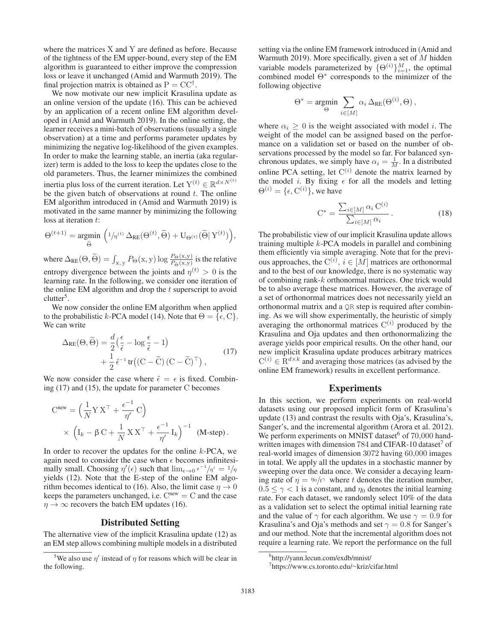where the matrices X and Y are defined as before. Because of the tightness of the EM upper-bound, every step of the EM algorithm is guaranteed to either improve the compression loss or leave it unchanged (Amid and Warmuth 2019). The final projection matrix is obtained as  $P = CC^{\dagger}$ .

We now motivate our new implicit Krasulina update as an online version of the update (16). This can be achieved by an application of a recent online EM algorithm developed in (Amid and Warmuth 2019). In the online setting, the learner receives a mini-batch of observations (usually a single observation) at a time and performs parameter updates by minimizing the negative log-likelihood of the given examples. In order to make the learning stable, an inertia (aka regularizer) term is added to the loss to keep the updates close to the old parameters. Thus, the learner minimizes the combined inertia plus loss of the current iteration. Let  $\mathbf{Y}^{(t)} \in \mathbb{R}^{d \times N^{(t)}}$ be the given batch of observations at round  $t$ . The online EM algorithm introduced in (Amid and Warmuth 2019) is motivated in the same manner by minimizing the following loss at iteration t:

loss at iteration *t*:  
\n
$$
\Theta^{(t+1)} = \underset{\tilde{\Theta}}{\text{argmin}} \left( \frac{1}{\eta^{(t)}} \Delta_{RE}(\Theta^{(t)}, \tilde{\Theta}) + U_{\Theta^{(t)}}(\tilde{\Theta} | Y^{(t)}) \right),
$$

where  $\Delta_{RE}(\Theta, \widetilde{\Theta}) = \int_{x,y} P_{\Theta}(x,y) \log \frac{P_{\Theta}(x,y)}{P_{\widetilde{\Theta}}(x,y)}$  is the relative entropy divergence between the joints and  $\eta^{(t)} > 0$  is the learning rate. In the following, we consider one iteration of the online EM algorithm and drop the  $t$  superscript to avoid clutter<sup>5</sup>.

We now consider the online EM algorithm when applied to the probabilistic k-PCA model (14). Note that  $\Theta = \{\epsilon, C\}.$ We can write

$$
\Delta_{RE}(\Theta, \widetilde{\Theta}) = \frac{d}{2} \left( \frac{\epsilon}{\tilde{\epsilon}} - \log \frac{\epsilon}{\tilde{\epsilon}} - 1 \right) + \frac{1}{2} \tilde{\epsilon}^{-1} tr \left( (C - \widetilde{C}) (C - \widetilde{C})^{\top} \right),
$$
\n(17)

We now consider the case where  $\tilde{\epsilon} = \epsilon$  is fixed. Combin-<br>ing (17) and (15) the undate for parameter C becomes ing (17) and (15), the update for parameter C becomes

$$
Cnew = \left(\frac{1}{N}Y X^{\top} + \frac{\epsilon^{-1}}{\eta'} C\right)
$$
  
 
$$
\times \left(I_k - \beta C + \frac{1}{N} XX^{\top} + \frac{\epsilon^{-1}}{\eta'} I_k\right)^{-1} \quad (M-step).
$$

In order to recover the updates for the online  $k$ -PCA, we again need to consider the case when  $\epsilon$  becomes infinitesimally small. Choosing  $\eta'(\epsilon)$  such that  $\lim_{\epsilon \to 0} \epsilon^{-1}/\eta' = 1/\eta$ <br>vields (12). Note that the E-step of the online EM algoyields (12). Note that the E-step of the online EM algorithm becomes identical to (16). Also, the limit case  $\eta \to 0$ keeps the parameters unchanged, i.e.  $C^{new} = C$  and the case  $\eta \rightarrow \infty$  recovers the batch EM updates (16).

## Distributed Setting

The alternative view of the implicit Krasulina update (12) as an EM step allows combining multiple models in a distributed

setting via the online EM framework introduced in (Amid and Warmuth 2019). More specifically, given a set of  $M$  hidden variable models parameterized by  $\{\Theta^{(i)}\}_{i=1}^{M}$ , the optimal<br>combined model  $\Theta^*$  corresponds to the minimizer of the combined model Θ<sup>∗</sup> corresponds to the minimizer of the following objective

$$
\Theta^* = \underset{\Theta}{\text{argmin}} \ \sum_{i \in [M]} \alpha_i \, \Delta_{\text{RE}}(\Theta^{(i)}, \Theta) \, ,
$$

where  $\alpha_i \geq 0$  is the weight associated with model *i*. The weight of the model can be assigned based on the performance on a validation set or based on the number of observations processed by the model so far. For balanced synchronous updates, we simply have  $\alpha_i = \frac{1}{M}$ . In a distributed online PCA setting, let  $C^{(i)}$  denote the matrix learned by the model *i*. By fixing  $\epsilon$  for all the models and letting  $\Theta^{(i)} = {\epsilon, \mathcal{C}^{(i)}}$ , we have

$$
C^* = \frac{\sum_{i \in [M]} \alpha_i C^{(i)}}{\sum_{i \in [M]} \alpha_i}.
$$
 (18)

The probabilistic view of our implicit Krasulina update allows training multiple k-PCA models in parallel and combining them efficiently via simple averaging. Note that for the previous approaches, the  $C^{(i)}$ ,  $i \in [M]$  matrices are orthonormal and to the best of our knowledge there is no systematic way and to the best of our knowledge, there is no systematic way of combining rank-k orthonormal matrices. One trick would be to also average these matrices. However, the average of a set of orthonormal matrices does not necessarily yield an orthonormal matrix and a QR step is required after combining. As we will show experimentally, the heuristic of simply averaging the orthonormal matrices  $C^{(i)}$  produced by the Krasulina and Oja updates and then orthonormalizing the average yields poor empirical results. On the other hand, our new implicit Krasulina update produces arbitrary matrices  $C^{(i)} \in \mathbb{R}^{d \times k}$  and averaging those matrices (as advised by the online EM framework) results in excellent performance.

#### Experiments

In this section, we perform experiments on real-world datasets using our proposed implicit form of Krasulina's update (13) and contrast the results with Oja's, Krasulina's, Sanger's, and the incremental algorithm (Arora et al. 2012). We perform experiments on MNIST dataset $6$  of 70,000 handwritten images with dimension  $784$  and CIFAR-10 dataset<sup>7</sup> of real-world images of dimension 3072 having 60,000 images in total. We apply all the updates in a stochastic manner by sweeping over the data once. We consider a decaying learning rate of  $\eta = \eta_0 / t^{\gamma}$  where t denotes the iteration number,  $0.5 \leq \gamma < 1$  is a constant, and  $\eta_0$  denotes the initial learning rate. For each dataset, we randomly select 10% of the data as a validation set to select the optimal initial learning rate and the value of  $\gamma$  for each algorithm. We use  $\gamma = 0.9$  for Krasulina's and Oja's methods and set  $\gamma = 0.8$  for Sanger's and our method. Note that the incremental algorithm does not require a learning rate. We report the performance on the full

<sup>&</sup>lt;sup>5</sup>We also use  $\eta'$  instead of  $\eta$  for reasons which will be clear in the following.

<sup>6</sup> http://yann.lecun.com/exdb/mnist/

<sup>7</sup> https://www.cs.toronto.edu/∼kriz/cifar.html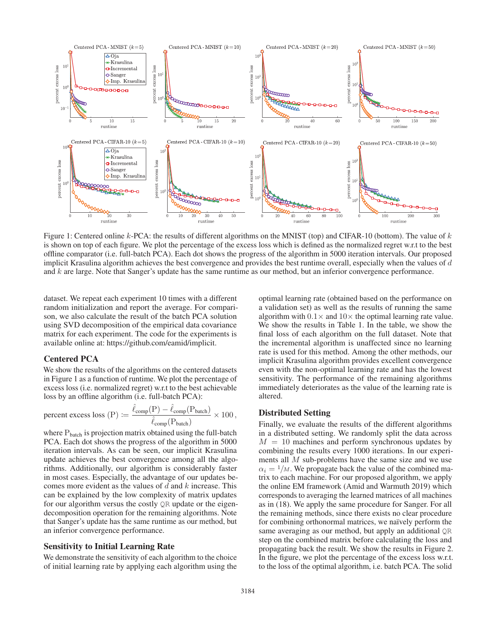

Figure 1: Centered online  $k$ -PCA: the results of different algorithms on the MNIST (top) and CIFAR-10 (bottom). The value of  $k$ is shown on top of each figure. We plot the percentage of the excess loss which is defined as the normalized regret w.r.t to the best offline comparator (i.e. full-batch PCA). Each dot shows the progress of the algorithm in 5000 iteration intervals. Our proposed implicit Krasulina algorithm achieves the best convergence and provides the best runtime overall, especially when the values of d and k are large. Note that Sanger's update has the same runtime as our method, but an inferior convergence performance.

dataset. We repeat each experiment 10 times with a different random initialization and report the average. For comparison, we also calculate the result of the batch PCA solution using SVD decomposition of the empirical data covariance matrix for each experiment. The code for the experiments is available online at: https://github.com/eamid/implicit.

### Centered PCA

We show the results of the algorithms on the centered datasets in Figure 1 as a function of runtime. We plot the percentage of excess loss (i.e. normalized regret) w.r.t to the best achievable loss by an offline algorithm (i.e. full-batch PCA):

percent excess loss (P) := 
$$
\frac{\hat{\ell}_{comp}(P) - \hat{\ell}_{comp}(P_{batch})}{\hat{\ell}_{comp}(P_{batch})} \times 100
$$
,

where  $P_{batch}$  is projection matrix obtained using the full-batch<br>PCA. Each dot shows the progress of the algorithm in 5000 PCA. Each dot shows the progress of the algorithm in 5000 iteration intervals. As can be seen, our implicit Krasulina update achieves the best convergence among all the algorithms. Additionally, our algorithm is considerably faster in most cases. Especially, the advantage of our updates becomes more evident as the values of  $d$  and  $k$  increase. This can be explained by the low complexity of matrix updates for our algorithm versus the costly QR update or the eigendecomposition operation for the remaining algorithms. Note that Sanger's update has the same runtime as our method, but an inferior convergence performance.

#### Sensitivity to Initial Learning Rate

We demonstrate the sensitivity of each algorithm to the choice of initial learning rate by applying each algorithm using the

optimal learning rate (obtained based on the performance on a validation set) as well as the results of running the same algorithm with  $0.1 \times$  and  $10 \times$  the optimal learning rate value. We show the results in Table 1. In the table, we show the final loss of each algorithm on the full dataset. Note that the incremental algorithm is unaffected since no learning rate is used for this method. Among the other methods, our implicit Krasulina algorithm provides excellent convergence even with the non-optimal learning rate and has the lowest sensitivity. The performance of the remaining algorithms immediately deteriorates as the value of the learning rate is altered.

### Distributed Setting

Finally, we evaluate the results of the different algorithms in a distributed setting. We randomly split the data across  $M = 10$  machines and perform synchronous updates by combining the results every 1000 iterations. In our experiments all M sub-problems have the same size and we use  $\alpha_i = 1/M$ . We propagate back the value of the combined matrix to each machine. For our proposed algorithm, we apply the online EM framework (Amid and Warmuth 2019) which corresponds to averaging the learned matrices of all machines as in (18). We apply the same procedure for Sanger. For all the remaining methods, since there exists no clear procedure for combining orthonormal matrices, we naïvely perform the same averaging as our method, but apply an additional QR step on the combined matrix before calculating the loss and propagating back the result. We show the results in Figure 2. In the figure, we plot the percentage of the excess loss w.r.t. to the loss of the optimal algorithm, i.e. batch PCA. The solid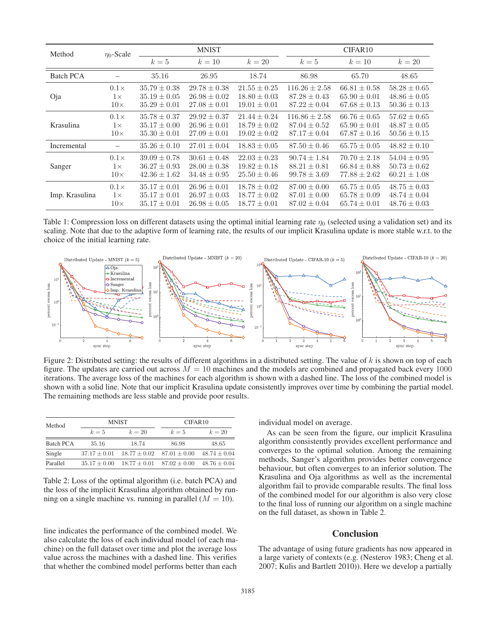| Method           | $\eta_0$ -Scale | <b>MNIST</b>     |                  |                  | CIFAR10           |                  |                  |
|------------------|-----------------|------------------|------------------|------------------|-------------------|------------------|------------------|
|                  |                 | $k=5$            | $k=10$           | $k=20$           | $k=5$             | $k=10$           | $k=20$           |
| Batch PCA        |                 | 35.16            | 26.95            | 18.74            | 86.98             | 65.70            | 48.65            |
| Oja              | $0.1\times$     | $35.79 \pm 0.38$ | $29.78 \pm 0.38$ | $21.55 \pm 0.25$ | $116.26 + 2.58$   | $66.81 \pm 0.58$ | $58.28 \pm 0.65$ |
|                  | $1\times$       | $35.19 \pm 0.05$ | $26.98 \pm 0.02$ | $18.80 \pm 0.03$ | $87.28 \pm 0.43$  | $65.90 \pm 0.01$ | $48.86 \pm 0.05$ |
|                  | $10\times$      | $35.29 \pm 0.01$ | $27.08 \pm 0.01$ | $19.01 \pm 0.01$ | $87.22 \pm 0.04$  | $67.68 \pm 0.13$ | $50.36 \pm 0.13$ |
| <b>Krasulina</b> | $0.1\times$     | $35.78 \pm 0.37$ | $29.92 \pm 0.37$ | $21.44 \pm 0.24$ | $116.86 \pm 2.58$ | $66.76 \pm 0.65$ | $57.62 \pm 0.65$ |
|                  | $1\times$       | $35.17 \pm 0.00$ | $26.96 \pm 0.01$ | $18.79 \pm 0.02$ | $87.04 \pm 0.52$  | $65.90 \pm 0.01$ | $48.87 \pm 0.05$ |
|                  | $10\times$      | $35.30 \pm 0.01$ | $27.09 \pm 0.01$ | $19.02 \pm 0.02$ | $87.17 \pm 0.04$  | $67.87 \pm 0.16$ | $50.56 \pm 0.15$ |
| Incremental      |                 | $35.26 \pm 0.10$ | $27.01 \pm 0.04$ | $18.83 \pm 0.05$ | $87.50 \pm 0.46$  | $65.75 \pm 0.05$ | $48.82 \pm 0.10$ |
| Sanger           | $0.1\times$     | $39.09 \pm 0.78$ | $30.61 \pm 0.48$ | $22.03 \pm 0.23$ | $90.74 \pm 1.84$  | $70.70 \pm 2.18$ | $54.04 \pm 0.95$ |
|                  | $1\times$       | $36.27 \pm 0.93$ | $28.00 \pm 0.38$ | $19.82 \pm 0.18$ | $88.21 \pm 0.81$  | $66.84 \pm 0.88$ | $50.73 \pm 0.62$ |
|                  | $10\times$      | $42.36 \pm 1.62$ | $34.48 \pm 0.95$ | $25.50 \pm 0.46$ | $99.78 \pm 3.69$  | $77.88 \pm 2.62$ | $60.21 \pm 1.08$ |
| Imp. Krasulina   | $0.1\times$     | $35.17 \pm 0.01$ | $26.96 \pm 0.01$ | $18.78 \pm 0.02$ | $87.00 \pm 0.00$  | $65.75 \pm 0.05$ | $48.75 \pm 0.03$ |
|                  | $1\times$       | $35.17 + 0.01$   | $26.97 + 0.03$   | $18.77 \pm 0.02$ | $87.01 + 0.00$    | $65.78 \pm 0.09$ | $48.74 \pm 0.04$ |
|                  | $10\times$      | $35.17 \pm 0.01$ | $26.98 \pm 0.05$ | $18.77 \pm 0.01$ | $87.02 \pm 0.04$  | $65.74 \pm 0.01$ | $48.76 \pm 0.03$ |

Table 1: Compression loss on different datasets using the optimal initial learning rate  $\eta_0$  (selected using a validation set) and its scaling. Note that due to the adaptive form of learning rate, the results of our implicit Krasulina update is more stable w.r.t. to the choice of the initial learning rate.



Figure 2: Distributed setting: the results of different algorithms in a distributed setting. The value of  $k$  is shown on top of each figure. The updates are carried out across  $M = 10$  machines and the models are combined and propagated back every 1000 iterations. The average loss of the machines for each algorithm is shown with a dashed line. The loss of the combined model is shown with a solid line. Note that our implicit Krasulina update consistently improves over time by combining the partial model. The remaining methods are less stable and provide poor results.

| Method           |                  | <b>MNIST</b>                      | CIFAR <sub>10</sub> |                  |  |
|------------------|------------------|-----------------------------------|---------------------|------------------|--|
|                  | $k=5$            | $k=20$                            | $k=5$               | $k=20$           |  |
| <b>Batch PCA</b> | 35.16            | 18.74                             | 86.98               | 48.65            |  |
| Single           | $37.17 \pm 0.01$ | $18.77 \pm 0.02$ $87.01 \pm 0.00$ |                     | $48.74 \pm 0.04$ |  |
| Parallel         | $35.17 + 0.00$   | $18.77 \pm 0.01$ $87.02 \pm 0.00$ |                     | $48.76 \pm 0.04$ |  |
|                  |                  |                                   |                     |                  |  |

Table 2: Loss of the optimal algorithm (i.e. batch PCA) and the loss of the implicit Krasulina algorithm obtained by running on a single machine vs. running in parallel  $(M = 10)$ .

line indicates the performance of the combined model. We also calculate the loss of each individual model (of each machine) on the full dataset over time and plot the average loss value across the machines with a dashed line. This verifies that whether the combined model performs better than each

individual model on average.

As can be seen from the figure, our implicit Krasulina algorithm consistently provides excellent performance and converges to the optimal solution. Among the remaining methods, Sanger's algorithm provides better convergence behaviour, but often converges to an inferior solution. The Krasulina and Oja algorithms as well as the incremental algorithm fail to provide comparable results. The final loss of the combined model for our algorithm is also very close to the final loss of running our algorithm on a single machine on the full dataset, as shown in Table 2.

### Conclusion

The advantage of using future gradients has now appeared in a large variety of contexts (e.g. (Nesterov 1983; Cheng et al. 2007; Kulis and Bartlett 2010)). Here we develop a partially